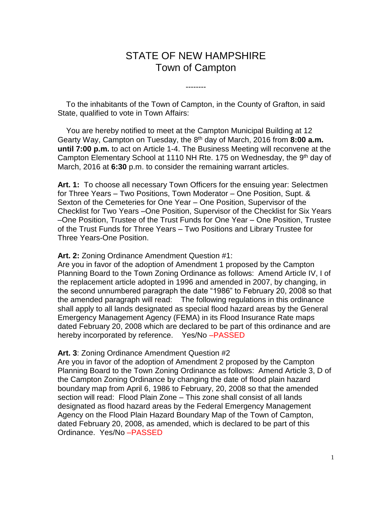# STATE OF NEW HAMPSHIRE Town of Campton

--------

 To the inhabitants of the Town of Campton, in the County of Grafton, in said State, qualified to vote in Town Affairs:

 You are hereby notified to meet at the Campton Municipal Building at 12 Gearty Way, Campton on Tuesday, the 8<sup>th</sup> day of March, 2016 from 8:00 a.m. **until 7:00 p.m.** to act on Article 1-4. The Business Meeting will reconvene at the Campton Elementary School at 1110 NH Rte. 175 on Wednesday, the 9<sup>th</sup> day of March, 2016 at **6:30** p.m. to consider the remaining warrant articles.

**Art. 1:** To choose all necessary Town Officers for the ensuing year: Selectmen for Three Years – Two Positions, Town Moderator – One Position, Supt. & Sexton of the Cemeteries for One Year – One Position, Supervisor of the Checklist for Two Years –One Position, Supervisor of the Checklist for Six Years –One Position, Trustee of the Trust Funds for One Year – One Position, Trustee of the Trust Funds for Three Years – Two Positions and Library Trustee for Three Years-One Position.

#### **Art. 2:** Zoning Ordinance Amendment Question #1:

Are you in favor of the adoption of Amendment 1 proposed by the Campton Planning Board to the Town Zoning Ordinance as follows: Amend Article IV, I of the replacement article adopted in 1996 and amended in 2007, by changing, in the second unnumbered paragraph the date "1986" to February 20, 2008 so that the amended paragraph will read: The following regulations in this ordinance shall apply to all lands designated as special flood hazard areas by the General Emergency Management Agency (FEMA) in its Flood Insurance Rate maps dated February 20, 2008 which are declared to be part of this ordinance and are hereby incorporated by reference. Yes/No –PASSED

### **Art. 3**: Zoning Ordinance Amendment Question #2

Are you in favor of the adoption of Amendment 2 proposed by the Campton Planning Board to the Town Zoning Ordinance as follows: Amend Article 3, D of the Campton Zoning Ordinance by changing the date of flood plain hazard boundary map from April 6, 1986 to February, 20, 2008 so that the amended section will read: Flood Plain Zone – This zone shall consist of all lands designated as flood hazard areas by the Federal Emergency Management Agency on the Flood Plain Hazard Boundary Map of the Town of Campton, dated February 20, 2008, as amended, which is declared to be part of this Ordinance. Yes/No –PASSED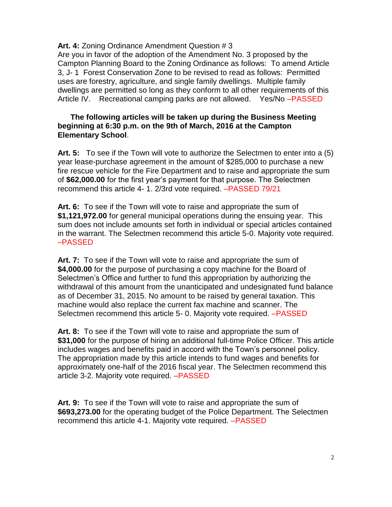## Art. 4: Zoning Ordinance Amendment Question # 3

Are you in favor of the adoption of the Amendment No. 3 proposed by the Campton Planning Board to the Zoning Ordinance as follows: To amend Article 3, J- 1 Forest Conservation Zone to be revised to read as follows: Permitted uses are forestry, agriculture, and single family dwellings. Multiple family dwellings are permitted so long as they conform to all other requirements of this Article IV. Recreational camping parks are not allowed. Yes/No –PASSED

## **The following articles will be taken up during the Business Meeting beginning at 6:30 p.m. on the 9th of March, 2016 at the Campton Elementary School**.

**Art. 5:** To see if the Town will vote to authorize the Selectmen to enter into a (5) year lease-purchase agreement in the amount of \$285,000 to purchase a new fire rescue vehicle for the Fire Department and to raise and appropriate the sum of **\$62,000.00** for the first year's payment for that purpose. The Selectmen recommend this article 4- 1. 2/3rd vote required. –PASSED 79/21

**Art. 6:** To see if the Town will vote to raise and appropriate the sum of **\$1,121,972.00** for general municipal operations during the ensuing year. This sum does not include amounts set forth in individual or special articles contained in the warrant. The Selectmen recommend this article 5-0. Majority vote required. –PASSED

**Art. 7:** To see if the Town will vote to raise and appropriate the sum of **\$4,000.00** for the purpose of purchasing a copy machine for the Board of Selectmen's Office and further to fund this appropriation by authorizing the withdrawal of this amount from the unanticipated and undesignated fund balance as of December 31, 2015. No amount to be raised by general taxation. This machine would also replace the current fax machine and scanner. The Selectmen recommend this article 5- 0. Majority vote required. –PASSED

**Art. 8:** To see if the Town will vote to raise and appropriate the sum of **\$31,000** for the purpose of hiring an additional full-time Police Officer. This article includes wages and benefits paid in accord with the Town's personnel policy. The appropriation made by this article intends to fund wages and benefits for approximately one-half of the 2016 fiscal year. The Selectmen recommend this article 3-2. Majority vote required. –PASSED

**Art. 9:** To see if the Town will vote to raise and appropriate the sum of **\$693,273.00** for the operating budget of the Police Department. The Selectmen recommend this article 4-1. Majority vote required. –PASSED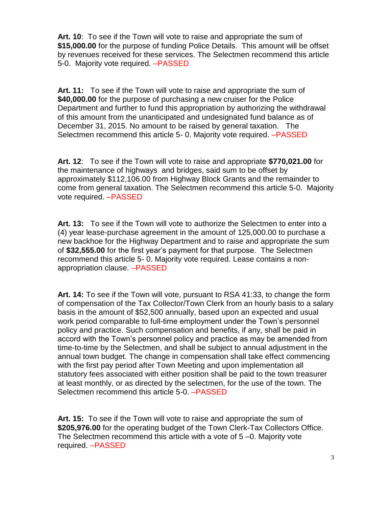**Art. 10**: To see if the Town will vote to raise and appropriate the sum of **\$15,000.00** for the purpose of funding Police Details. This amount will be offset by revenues received for these services. The Selectmen recommend this article 5-0. Majority vote required. –PASSED

**Art. 11:** To see if the Town will vote to raise and appropriate the sum of **\$40,000.00** for the purpose of purchasing a new cruiser for the Police Department and further to fund this appropriation by authorizing the withdrawal of this amount from the unanticipated and undesignated fund balance as of December 31, 2015. No amount to be raised by general taxation. The Selectmen recommend this article 5- 0. Majority vote required. –PASSED

**Art. 12**: To see if the Town will vote to raise and appropriate **\$770,021.00** for the maintenance of highways and bridges, said sum to be offset by approximately \$112,106.00 from Highway Block Grants and the remainder to come from general taxation. The Selectmen recommend this article 5-0. Majority vote required. –PASSED

**Art. 13:** To see if the Town will vote to authorize the Selectmen to enter into a (4) year lease-purchase agreement in the amount of 125,000.00 to purchase a new backhoe for the Highway Department and to raise and appropriate the sum of **\$32,555.00** for the first year's payment for that purpose. The Selectmen recommend this article 5- 0. Majority vote required. Lease contains a nonappropriation clause. –PASSED

**Art. 14:** To see if the Town will vote, pursuant to RSA 41:33, to change the form of compensation of the Tax Collector/Town Clerk from an hourly basis to a salary basis in the amount of \$52,500 annually, based upon an expected and usual work period comparable to full-time employment under the Town's personnel policy and practice. Such compensation and benefits, if any, shall be paid in accord with the Town's personnel policy and practice as may be amended from time-to-time by the Selectmen, and shall be subject to annual adjustment in the annual town budget. The change in compensation shall take effect commencing with the first pay period after Town Meeting and upon implementation all statutory fees associated with either position shall be paid to the town treasurer at least monthly, or as directed by the selectmen, for the use of the town. The Selectmen recommend this article 5-0. –PASSED

**Art. 15:** To see if the Town will vote to raise and appropriate the sum of **\$205,976.00** for the operating budget of the Town Clerk-Tax Collectors Office. The Selectmen recommend this article with a vote of 5 –0. Majority vote required. –PASSED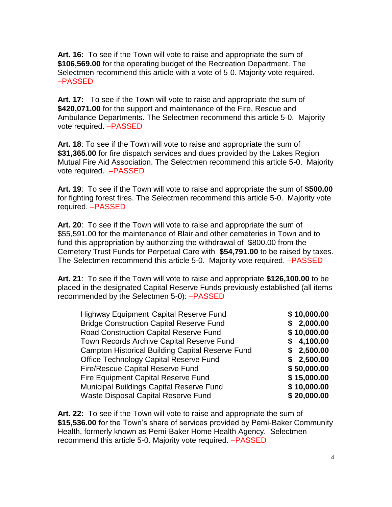**Art. 16:** To see if the Town will vote to raise and appropriate the sum of **\$106,569.00** for the operating budget of the Recreation Department. The Selectmen recommend this article with a vote of 5-0. Majority vote required. - –PASSED

**Art. 17:** To see if the Town will vote to raise and appropriate the sum of **\$420,071.00** for the support and maintenance of the Fire, Rescue and Ambulance Departments. The Selectmen recommend this article 5-0. Majority vote required. –PASSED

**Art. 18**: To see if the Town will vote to raise and appropriate the sum of **\$31,365.00** for fire dispatch services and dues provided by the Lakes Region Mutual Fire Aid Association. The Selectmen recommend this article 5-0. Majority vote required. –PASSED

**Art. 19**: To see if the Town will vote to raise and appropriate the sum of **\$500.00** for fighting forest fires. The Selectmen recommend this article 5-0. Majority vote required. –PASSED

**Art. 20**: To see if the Town will vote to raise and appropriate the sum of \$55,591.00 for the maintenance of Blair and other cemeteries in Town and to fund this appropriation by authorizing the withdrawal of \$800.00 from the Cemetery Trust Funds for Perpetual Care with **\$54,791.00** to be raised by taxes. The Selectmen recommend this article 5-0. Majority vote required. –PASSED

**Art. 21**: To see if the Town will vote to raise and appropriate **\$126,100.00** to be placed in the designated Capital Reserve Funds previously established (all items recommended by the Selectmen 5-0): –PASSED

| \$10,000.00 |
|-------------|
| \$2,000.00  |
| \$10,000.00 |
| \$4,100.00  |
| \$2,500.00  |
| \$2,500.00  |
| \$50,000.00 |
| \$15,000.00 |
| \$10,000.00 |
| \$20,000.00 |
|             |

**Art. 22:** To see if the Town will vote to raise and appropriate the sum of **\$15,536.00 f**or the Town's share of services provided by Pemi-Baker Community Health, formerly known as Pemi-Baker Home Health Agency. Selectmen recommend this article 5-0. Majority vote required. –PASSED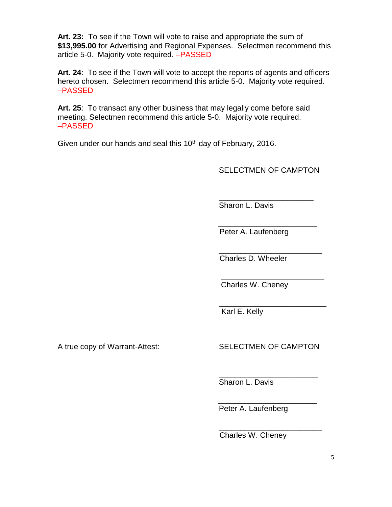**Art. 23:** To see if the Town will vote to raise and appropriate the sum of **\$13,995.00** for Advertising and Regional Expenses. Selectmen recommend this article 5-0. Majority vote required. –PASSED

**Art. 24**: To see if the Town will vote to accept the reports of agents and officers hereto chosen. Selectmen recommend this article 5-0. Majority vote required. –PASSED

**Art. 25**: To transact any other business that may legally come before said meeting. Selectmen recommend this article 5-0. Majority vote required. –PASSED

 $\overline{\phantom{a}}$  , and the contract of the contract of the contract of the contract of the contract of the contract of the contract of the contract of the contract of the contract of the contract of the contract of the contrac

Given under our hands and seal this  $10<sup>th</sup>$  day of February, 2016.

SELECTMEN OF CAMPTON

\_\_\_\_\_\_\_\_\_\_\_\_\_\_\_\_\_\_\_\_\_\_ Sharon L. Davis

 $\overline{\phantom{a}}$  , and the contract of the contract of the contract of the contract of the contract of the contract of the contract of the contract of the contract of the contract of the contract of the contract of the contrac Peter A. Laufenberg

 $\overline{\phantom{a}}$  , and the contract of the contract of the contract of the contract of the contract of the contract of the contract of the contract of the contract of the contract of the contract of the contract of the contrac Charles D. Wheeler

Charles W. Cheney

\_\_\_\_\_\_\_\_\_\_\_\_\_\_\_\_\_\_\_\_\_\_\_\_\_ Karl E. Kelly

A true copy of Warrant-Attest: SELECTMEN OF CAMPTON

\_\_\_\_\_\_\_\_\_\_\_\_\_\_\_\_\_\_\_\_\_\_\_ Sharon L. Davis

 $\overline{\phantom{a}}$  , and the contract of the contract of the contract of the contract of the contract of the contract of the contract of the contract of the contract of the contract of the contract of the contract of the contrac Peter A. Laufenberg

 $\overline{\phantom{a}}$  , and the contract of the contract of the contract of the contract of the contract of the contract of the contract of the contract of the contract of the contract of the contract of the contract of the contrac Charles W. Cheney